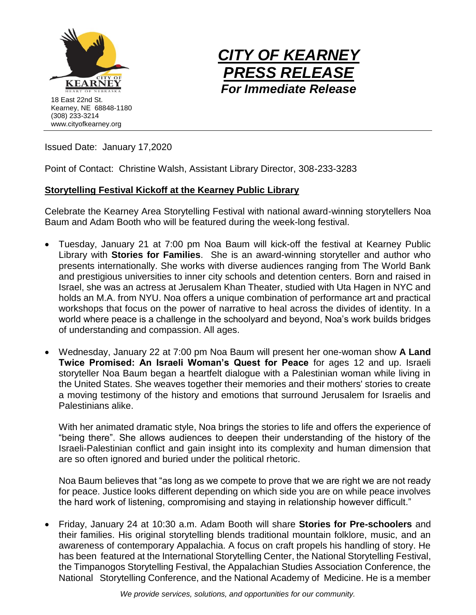



Issued Date: January 17,2020

Point of Contact: Christine Walsh, Assistant Library Director, 308-233-3283

## **Storytelling Festival Kickoff at the Kearney Public Library**

Celebrate the Kearney Area Storytelling Festival with national award-winning storytellers Noa Baum and Adam Booth who will be featured during the week-long festival.

- Tuesday, January 21 at 7:00 pm Noa Baum will kick-off the festival at Kearney Public Library with **Stories for Families**. She is an award-winning storyteller and author who presents internationally. She works with diverse audiences ranging from The World Bank and prestigious universities to inner city schools and detention centers. Born and raised in Israel, she was an actress at Jerusalem Khan Theater, studied with Uta Hagen in NYC and holds an M.A. from NYU. Noa offers a unique combination of performance art and practical workshops that focus on the power of narrative to heal across the divides of identity. In a world where peace is a challenge in the schoolyard and beyond, Noa's work builds bridges of understanding and compassion. All ages.
- Wednesday, January 22 at 7:00 pm Noa Baum will present her one-woman show **A Land Twice Promised: An Israeli Woman's Quest for Peace** for ages 12 and up. Israeli storyteller Noa Baum began a heartfelt dialogue with a Palestinian woman while living in the United States. She weaves together their memories and their mothers' stories to create a moving testimony of the history and emotions that surround Jerusalem for Israelis and Palestinians alike.

With her animated dramatic style, Noa brings the stories to life and offers the experience of "being there". She allows audiences to deepen their understanding of the history of the Israeli-Palestinian conflict and gain insight into its complexity and human dimension that are so often ignored and buried under the political rhetoric.

Noa Baum believes that "as long as we compete to prove that we are right we are not ready for peace. Justice looks different depending on which side you are on while peace involves the hard work of listening, compromising and staying in relationship however difficult."

• Friday, January 24 at 10:30 a.m. Adam Booth will share **Stories for Pre-schoolers** and their families. His original storytelling blends traditional mountain folklore, music, and an awareness of contemporary Appalachia. A focus on craft propels his handling of story. He has been featured at the International Storytelling Center, the National Storytelling Festival, the Timpanogos Storytelling Festival, the Appalachian Studies Association Conference, the National Storytelling Conference, and the National Academy of Medicine. He is a member